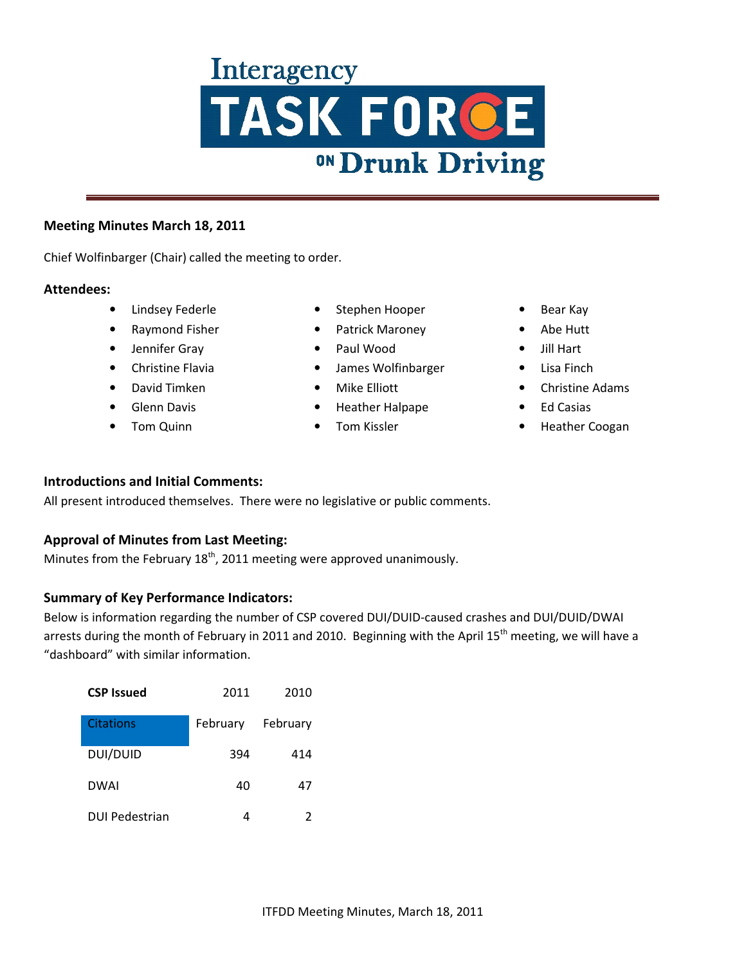#### **Meeting Minutes March 18, 2011**

Chief Wolfinbarger (Chair) called the meeting to order.

#### **Attendees:**

- Lindsey Federle
- Raymond Fisher
- Jennifer Gray
- Christine Flavia
- David Timken
- Glenn Davis
- Tom Quinn
- Stephen Hooper
- Patrick Maroney
- Paul Wood
- James Wolfinbarger
- Mike Elliott
- Heather Halpape
- Tom Kissler
- Bear Kay
- Abe Hutt
- Jill Hart
- Lisa Finch
- Christine Adams
- Ed Casias
- Heather Coogan

## **Introductions and Initial Comments:**

All present introduced themselves. There were no legislative or public comments.

## **Approval of Minutes from Last Meeting:**

Minutes from the February  $18<sup>th</sup>$ , 2011 meeting were approved unanimously.

#### **Summary of Key Performance Indicators:**

Below is information regarding the number of CSP covered DUI/DUID-caused crashes and DUI/DUID/DWAI arrests during the month of February in 2011 and 2010. Beginning with the April 15<sup>th</sup> meeting, we will have a "dashboard" with similar information.

| <b>CSP Issued</b>     | 2011     | 2010     |
|-----------------------|----------|----------|
| Citations             | February | February |
| DUI/DUID              | 394      | 414      |
| <b>DWAI</b>           | 40       | 47       |
| <b>DUI Pedestrian</b> |          | 2        |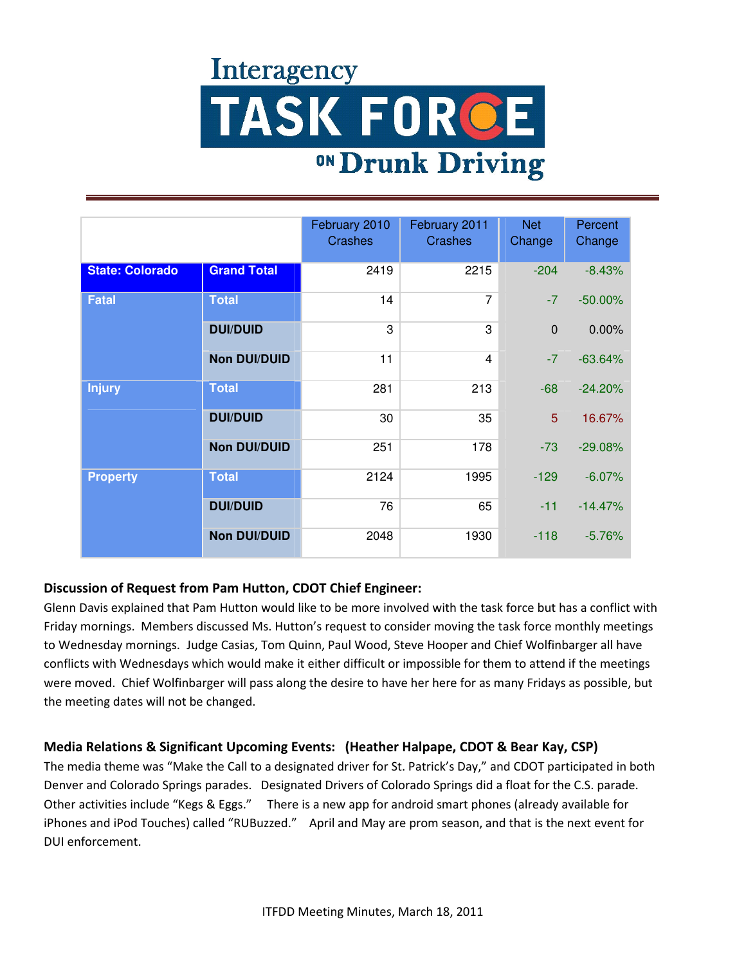|                        |                     | February 2010<br><b>Crashes</b> | February 2011<br><b>Crashes</b> | <b>Net</b><br>Change | Percent<br>Change |
|------------------------|---------------------|---------------------------------|---------------------------------|----------------------|-------------------|
| <b>State: Colorado</b> | <b>Grand Total</b>  | 2419                            | 2215                            | $-204$               | $-8.43%$          |
| <b>Fatal</b>           | <b>Total</b>        | 14                              | $\overline{7}$                  | $-7$                 | $-50.00\%$        |
|                        | <b>DUI/DUID</b>     | 3                               | 3                               | $\mathbf 0$          | 0.00%             |
|                        | <b>Non DUI/DUID</b> | 11                              | $\overline{4}$                  | $-7$                 | $-63.64%$         |
| <b>Injury</b>          | <b>Total</b>        | 281                             | 213                             | $-68$                | $-24.20%$         |
|                        | <b>DUI/DUID</b>     | 30                              | 35                              | 5                    | 16.67%            |
|                        | <b>Non DUI/DUID</b> | 251                             | 178                             | $-73$                | $-29.08%$         |
| <b>Property</b>        | <b>Total</b>        | 2124                            | 1995                            | $-129$               | $-6.07%$          |
|                        | <b>DUI/DUID</b>     | 76                              | 65                              | $-11$                | $-14.47%$         |
|                        | <b>Non DUI/DUID</b> | 2048                            | 1930                            | $-118$               | $-5.76%$          |

## **Discussion of Request from Pam Hutton, CDOT Chief Engineer:**

Glenn Davis explained that Pam Hutton would like to be more involved with the task force but has a conflict with Friday mornings. Members discussed Ms. Hutton's request to consider moving the task force monthly meetings to Wednesday mornings. Judge Casias, Tom Quinn, Paul Wood, Steve Hooper and Chief Wolfinbarger all have conflicts with Wednesdays which would make it either difficult or impossible for them to attend if the meetings were moved. Chief Wolfinbarger will pass along the desire to have her here for as many Fridays as possible, but the meeting dates will not be changed.

## **Media Relations & Significant Upcoming Events: (Heather Halpape, CDOT & Bear Kay, CSP)**

The media theme was "Make the Call to a designated driver for St. Patrick's Day," and CDOT participated in both Denver and Colorado Springs parades. Designated Drivers of Colorado Springs did a float for the C.S. parade. Other activities include "Kegs & Eggs." There is a new app for android smart phones (already available for iPhones and iPod Touches) called "RUBuzzed." April and May are prom season, and that is the next event for DUI enforcement.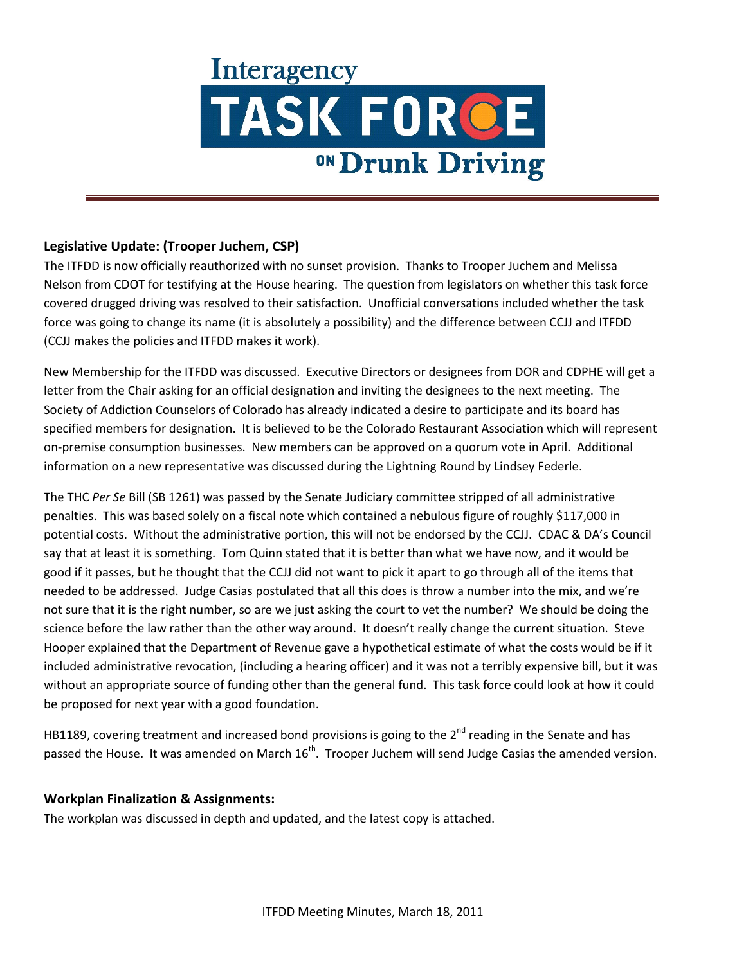## **Legislative Update: (Trooper Juchem, CSP)**

The ITFDD is now officially reauthorized with no sunset provision. Thanks to Trooper Juchem and Melissa Nelson from CDOT for testifying at the House hearing. The question from legislators on whether this task force covered drugged driving was resolved to their satisfaction. Unofficial conversations included whether the task force was going to change its name (it is absolutely a possibility) and the difference between CCJJ and ITFDD (CCJJ makes the policies and ITFDD makes it work).

New Membership for the ITFDD was discussed. Executive Directors or designees from DOR and CDPHE will get a letter from the Chair asking for an official designation and inviting the designees to the next meeting. The Society of Addiction Counselors of Colorado has already indicated a desire to participate and its board has specified members for designation. It is believed to be the Colorado Restaurant Association which will represent on-premise consumption businesses. New members can be approved on a quorum vote in April. Additional information on a new representative was discussed during the Lightning Round by Lindsey Federle.

The THC *Per Se* Bill (SB 1261) was passed by the Senate Judiciary committee stripped of all administrative penalties. This was based solely on a fiscal note which contained a nebulous figure of roughly \$117,000 in potential costs. Without the administrative portion, this will not be endorsed by the CCJJ. CDAC & DA's Council say that at least it is something. Tom Quinn stated that it is better than what we have now, and it would be good if it passes, but he thought that the CCJJ did not want to pick it apart to go through all of the items that needed to be addressed. Judge Casias postulated that all this does is throw a number into the mix, and we're not sure that it is the right number, so are we just asking the court to vet the number? We should be doing the science before the law rather than the other way around. It doesn't really change the current situation. Steve Hooper explained that the Department of Revenue gave a hypothetical estimate of what the costs would be if it included administrative revocation, (including a hearing officer) and it was not a terribly expensive bill, but it was without an appropriate source of funding other than the general fund. This task force could look at how it could be proposed for next year with a good foundation.

HB1189, covering treatment and increased bond provisions is going to the 2<sup>nd</sup> reading in the Senate and has passed the House. It was amended on March  $16<sup>th</sup>$ . Trooper Juchem will send Judge Casias the amended version.

## **Workplan Finalization & Assignments:**

The workplan was discussed in depth and updated, and the latest copy is attached.